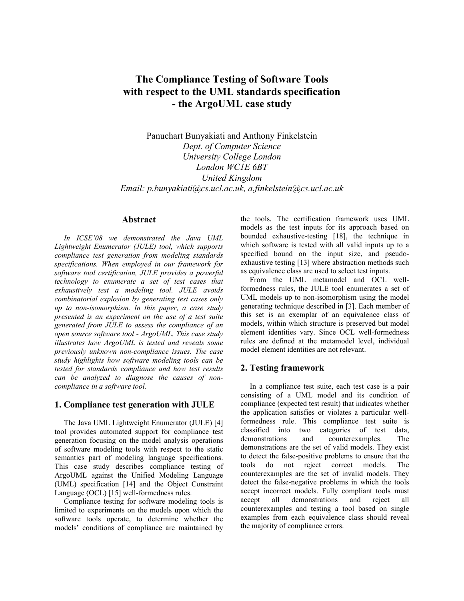# **The Compliance Testing of Software Tools with respect to the UML standards specification - the ArgoUML case study**

Panuchart Bunyakiati and Anthony Finkelstein *Dept. of Computer Science University College London London WC1E 6BT United Kingdom Email: p.bunyakiati@cs.ucl.ac.uk, a.finkelstein@cs.ucl.ac.uk*

#### **Abstract**

*In ICSE'08 we demonstrated the Java UML Lightweight Enumerator (JULE) tool, which supports compliance test generation from modeling standards specifications. When employed in our framework for software tool certification, JULE provides a powerful technology to enumerate a set of test cases that exhaustively test a modeling tool. JULE avoids combinatorial explosion by generating test cases only up to non-isomorphism. In this paper, a case study presented is an experiment on the use of a test suite generated from JULE to assess the compliance of an open source software tool - ArgoUML. This case study illustrates how ArgoUML is tested and reveals some previously unknown non-compliance issues. The case study highlights how software modeling tools can be tested for standards compliance and how test results can be analyzed to diagnose the causes of noncompliance in a software tool.*

# **1. Compliance test generation with JULE**

The Java UML Lightweight Enumerator (JULE) [4] tool provides automated support for compliance test generation focusing on the model analysis operations of software modeling tools with respect to the static semantics part of modeling language specifications. This case study describes compliance testing of ArgoUML against the Unified Modeling Language (UML) specification [14] and the Object Constraint Language (OCL) [15] well-formedness rules.

Compliance testing for software modeling tools is limited to experiments on the models upon which the software tools operate, to determine whether the models' conditions of compliance are maintained by the tools. The certification framework uses UML models as the test inputs for its approach based on bounded exhaustive-testing [18], the technique in which software is tested with all valid inputs up to a specified bound on the input size, and pseudoexhaustive testing [13] where abstraction methods such as equivalence class are used to select test inputs.

From the UML metamodel and OCL wellformedness rules, the JULE tool enumerates a set of UML models up to non-isomorphism using the model generating technique described in [3]. Each member of this set is an exemplar of an equivalence class of models, within which structure is preserved but model element identities vary. Since OCL well-formedness rules are defined at the metamodel level, individual model element identities are not relevant.

## **2. Testing framework**

In a compliance test suite, each test case is a pair consisting of a UML model and its condition of compliance (expected test result) that indicates whether the application satisfies or violates a particular wellformedness rule. This compliance test suite is classified into two categories of test data, demonstrations and counterexamples. The demonstrations are the set of valid models. They exist to detect the false-positive problems to ensure that the tools do not reject correct models. The counterexamples are the set of invalid models. They detect the false-negative problems in which the tools accept incorrect models. Fully compliant tools must accept all demonstrations and reject all counterexamples and testing a tool based on single examples from each equivalence class should reveal the majority of compliance errors.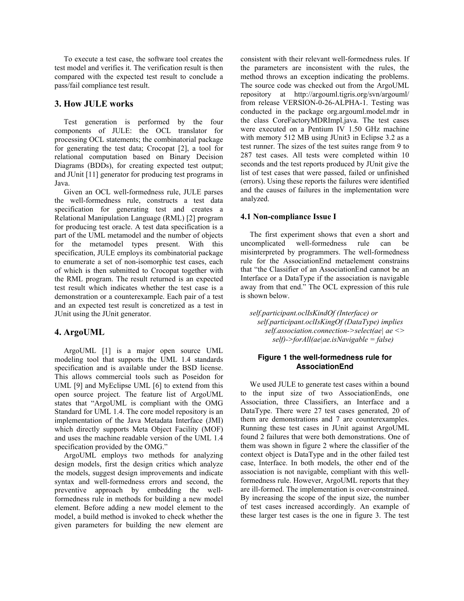To execute a test case, the software tool creates the test model and verifies it. The verification result is then compared with the expected test result to conclude a pass/fail compliance test result.

# **3. How JULE works**

Test generation is performed by the four components of JULE: the OCL translator for processing OCL statements; the combinatorial package for generating the test data; Crocopat [2], a tool for relational computation based on Binary Decision Diagrams (BDDs), for creating expected test output; and JUnit [11] generator for producing test programs in Java.

Given an OCL well-formedness rule, JULE parses the well-formedness rule, constructs a test data specification for generating test and creates a Relational Manipulation Language (RML) [2] program for producing test oracle. A test data specification is a part of the UML metamodel and the number of objects for the metamodel types present. With this specification, JULE employs its combinatorial package to enumerate a set of non-isomorphic test cases, each of which is then submitted to Crocopat together with the RML program. The result returned is an expected test result which indicates whether the test case is a demonstration or a counterexample. Each pair of a test and an expected test result is concretized as a test in JUnit using the JUnit generator.

## **4. ArgoUML**

ArgoUML [1] is a major open source UML modeling tool that supports the UML 1.4 standards specification and is available under the BSD license. This allows commercial tools such as Poseidon for UML [9] and MyEclipse UML [6] to extend from this open source project. The feature list of ArgoUML states that "ArgoUML is compliant with the OMG Standard for UML 1.4. The core model repository is an implementation of the Java Metadata Interface (JMI) which directly supports Meta Object Facility (MOF) and uses the machine readable version of the UML 1.4 specification provided by the OMG."

ArgoUML employs two methods for analyzing design models, first the design critics which analyze the models, suggest design improvements and indicate syntax and well-formedness errors and second, the preventive approach by embedding the wellformedness rule in methods for building a new model element. Before adding a new model element to the model, a build method is invoked to check whether the given parameters for building the new element are

consistent with their relevant well-formedness rules. If the parameters are inconsistent with the rules, the method throws an exception indicating the problems. The source code was checked out from the ArgoUML repository at http://argouml.tigris.org/svn/argouml/ from release VERSION-0-26-ALPHA-1. Testing was conducted in the package org.argouml.model.mdr in the class CoreFactoryMDRImpl.java. The test cases were executed on a Pentium IV 1.50 GHz machine with memory 512 MB using JUnit3 in Eclipse 3.2 as a test runner. The sizes of the test suites range from 9 to 287 test cases. All tests were completed within 10 seconds and the test reports produced by JUnit give the list of test cases that were passed, failed or unfinished (errors). Using these reports the failures were identified and the causes of failures in the implementation were analyzed.

#### **4.1 Non-compliance Issue I**

The first experiment shows that even a short and uncomplicated well-formedness rule can be misinterpreted by programmers. The well-formedness rule for the AssociationEnd metaelement constrains that "the Classifier of an AssociationEnd cannot be an Interface or a DataType if the association is navigable away from that end." The OCL expression of this rule is shown below.

*self.participant.oclIsKindOf (Interface) or self.participant.oclIsKingOf (DataType) implies self.association.connection->select(ae| ae <> self)->forAll(ae|ae.isNavigable = false)*

## **Figure 1 the well-formedness rule for AssociationEnd**

We used JULE to generate test cases within a bound to the input size of two AssociationEnds, one Association, three Classifiers, an Interface and a DataType. There were 27 test cases generated, 20 of them are demonstrations and 7 are counterexamples. Running these test cases in JUnit against ArgoUML found 2 failures that were both demonstrations. One of them was shown in figure 2 where the classifier of the context object is DataType and in the other failed test case, Interface. In both models, the other end of the association is not navigable, compliant with this wellformedness rule. However, ArgoUML reports that they are ill-formed. The implementation is over-constrained. By increasing the scope of the input size, the number of test cases increased accordingly. An example of these larger test cases is the one in figure 3. The test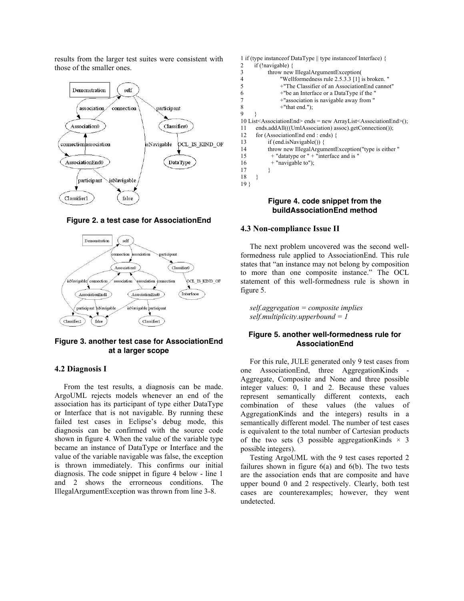results from the larger test suites were consistent with those of the smaller ones.



#### **Figure 2. a test case for AssociationEnd**



## **Figure 3. another test case for AssociationEnd at a larger scope**

#### **4.2 Diagnosis I**

From the test results, a diagnosis can be made. ArgoUML rejects models whenever an end of the association has its participant of type either DataType or Interface that is not navigable. By running these failed test cases in Eclipse's debug mode, this diagnosis can be confirmed with the source code shown in figure 4. When the value of the variable type became an instance of DataType or Interface and the value of the variable navigable was false, the exception is thrown immediately. This confirms our initial diagnosis. The code snippet in figure 4 below - line 1 and 2 shows the errorneous conditions. The IllegalArgumentException was thrown from line 3-8.



#### **Figure 4. code snippet from the buildAssociationEnd method**

#### **4.3 Non-compliance Issue II**

The next problem uncovered was the second wellformedness rule applied to AssociationEnd. This rule states that "an instance may not belong by composition to more than one composite instance." The OCL statement of this well-formedness rule is shown in figure 5.

*self.aggregation = composite implies self.multiplicity.upperbound = 1*

#### **Figure 5. another well-formedness rule for AssociationEnd**

For this rule, JULE generated only 9 test cases from one AssociationEnd, three AggregationKinds - Aggregate, Composite and None and three possible integer values: 0, 1 and 2. Because these values represent semantically different contexts, each combination of these values (the values of AggregationKinds and the integers) results in a semantically different model. The number of test cases is equivalent to the total number of Cartesian products of the two sets (3 possible aggregation Kinds  $\times$  3 possible integers).

Testing ArgoUML with the 9 test cases reported 2 failures shown in figure  $6(a)$  and  $6(b)$ . The two tests are the association ends that are composite and have upper bound 0 and 2 respectively. Clearly, both test cases are counterexamples; however, they went undetected.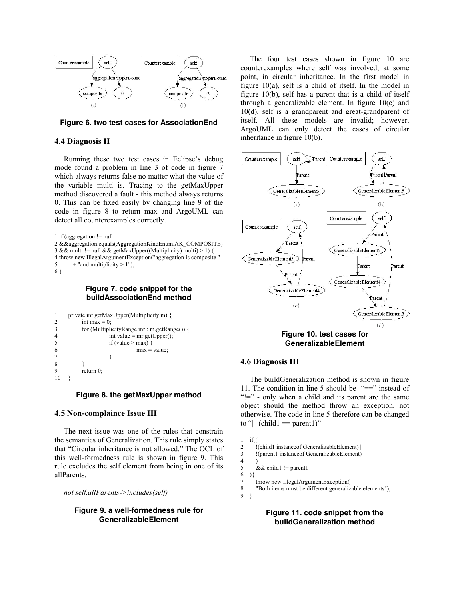

**Figure 6. two test cases for AssociationEnd**

#### **4.4 Diagnosis II**

Running these two test cases in Eclipse's debug mode found a problem in line 3 of code in figure 7 which always returns false no matter what the value of the variable multi is. Tracing to the getMaxUpper method discovered a fault - this method always returns 0. This can be fixed easily by changing line 9 of the code in figure 8 to return max and ArgoUML can detect all counterexamples correctly.

```
1 if (aggregation != null
2 &&aggregation.equals(AggregationKindEnum.AK_COMPOSITE)
3 \&\& multi != null \&\& getMaxUpper((Multiplicity) multi) > 1) {
4 throw new IllegalArgumentException("aggregation is composite "
5 + "and multiplicity > 1";
6 }
```
#### **Figure 7. code snippet for the buildAssociationEnd method**

```
1 private int getMaxUpper(Multiplicity m) {
2 int max = 0;<br>3 for (Multipli
        3 for (MultiplicityRange mr : m.getRange()) {
4 int value = mr.getUpper();
5 if (value > max) {
6 \text{ max} = \text{value};
7 }
8 }
9 return 0;
10 \quad \}
```
**Figure 8. the getMaxUpper method**

## **4.5 Non-complaince Issue III**

The next issue was one of the rules that constrain the semantics of Generalization. This rule simply states that "Circular inheritance is not allowed." The OCL of this well-formedness rule is shown in figure 9. This rule excludes the self element from being in one of its allParents.

*not self.allParents->includes(self)*

#### **Figure 9. a well-formedness rule for GeneralizableElement**

The four test cases shown in figure 10 are counterexamples where self was involved, at some point, in circular inheritance. In the first model in figure 10(a), self is a child of itself. In the model in figure 10(b), self has a parent that is a child of itself through a generalizable element. In figure 10(c) and 10(d), self is a grandparent and great-grandparent of itself. All these models are invalid; however, ArgoUML can only detect the cases of circular inheritance in figure 10(b).



**Figure 10. test cases for GeneralizableElement**

## **4.6 Diagnosis III**

The buildGeneralization method is shown in figure 11. The condition in line 5 should be  $"=="$  instead of "!=" - only when a child and its parent are the same object should the method throw an exception, not otherwise. The code in line 5 therefore can be changed to " $\|$  (child = parent 1)"

```
1 \text{ if}(
2 !(child1 instanceof GeneralizableElement) || 
3 !(parent1 instanceof GeneralizableElement)
\frac{4}{5}& \& child1 != parent1
6 ){
7 throw new IllegalArgumentException<br>
8 TBoth items must be different generaliz
        "Both items must be different generalizable elements");
9 }
```
**Figure 11. code snippet from the buildGeneralization method**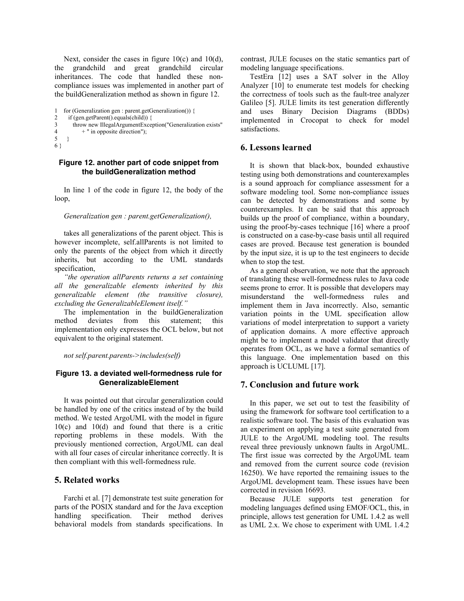Next, consider the cases in figure 10(c) and 10(d), the grandchild and great grandchild circular inheritances. The code that handled these noncompliance issues was implemented in another part of the buildGeneralization method as shown in figure 12.

```
1 for (Generalization gen : parent.getGeneralization()) {
2 if (gen.getParent().equals(child)) {<br>\frac{3}{2} throw new IllegalAroumentExcen
        throw new IllegalArgumentException("Generalization exists"
4 +" in opposite direction");
5 }
6 }
```
#### **Figure 12. another part of code snippet from the buildGeneralization method**

In line 1 of the code in figure 12, the body of the loop,

#### *Generalization gen : parent.getGeneralization(),*

takes all generalizations of the parent object. This is however incomplete, self.allParents is not limited to only the parents of the object from which it directly inherits, but according to the UML standards specification,

*"the operation allParents returns a set containing all the generalizable elements inherited by this generalizable element (the transitive closure), excluding the GeneralizableElement itself."* 

The implementation in the buildGeneralization method deviates from this statement; this implementation only expresses the OCL below, but not equivalent to the original statement.

*not self.parent.parents->includes(self)*

#### **Figure 13. a deviated well-formedness rule for GeneralizableElement**

It was pointed out that circular generalization could be handled by one of the critics instead of by the build method. We tested ArgoUML with the model in figure 10(c) and 10(d) and found that there is a critic reporting problems in these models. With the previously mentioned correction, ArgoUML can deal with all four cases of circular inheritance correctly. It is then compliant with this well-formedness rule.

# **5. Related works**

Farchi et al. [7] demonstrate test suite generation for parts of the POSIX standard and for the Java exception handling specification. Their method derives behavioral models from standards specifications. In

contrast, JULE focuses on the static semantics part of modeling language specifications.

TestEra [12] uses a SAT solver in the Alloy Analyzer [10] to enumerate test models for checking the correctness of tools such as the fault-tree analyzer Galileo [5]. JULE limits its test generation differently and uses Binary Decision Diagrams (BDDs) implemented in Crocopat to check for model satisfactions.

# **6. Lessons learned**

It is shown that black-box, bounded exhaustive testing using both demonstrations and counterexamples is a sound approach for compliance assessment for a software modeling tool. Some non-compliance issues can be detected by demonstrations and some by counterexamples. It can be said that this approach builds up the proof of compliance, within a boundary, using the proof-by-cases technique [16] where a proof is constructed on a case-by-case basis until all required cases are proved. Because test generation is bounded by the input size, it is up to the test engineers to decide when to stop the test.

As a general observation, we note that the approach of translating these well-formedness rules to Java code seems prone to error. It is possible that developers may misunderstand the well-formedness rules and implement them in Java incorrectly. Also, semantic variation points in the UML specification allow variations of model interpretation to support a variety of application domains. A more effective approach might be to implement a model validator that directly operates from OCL, as we have a formal semantics of this language. One implementation based on this approach is UCLUML [17].

# **7. Conclusion and future work**

In this paper, we set out to test the feasibility of using the framework for software tool certification to a realistic software tool. The basis of this evaluation was an experiment on applying a test suite generated from JULE to the ArgoUML modeling tool. The results reveal three previously unknown faults in ArgoUML. The first issue was corrected by the ArgoUML team and removed from the current source code (revision 16250). We have reported the remaining issues to the ArgoUML development team. These issues have been corrected in revision 16693.

Because JULE supports test generation for modeling languages defined using EMOF/OCL, this, in principle, allows test generation for UML 1.4.2 as well as UML 2.x. We chose to experiment with UML 1.4.2